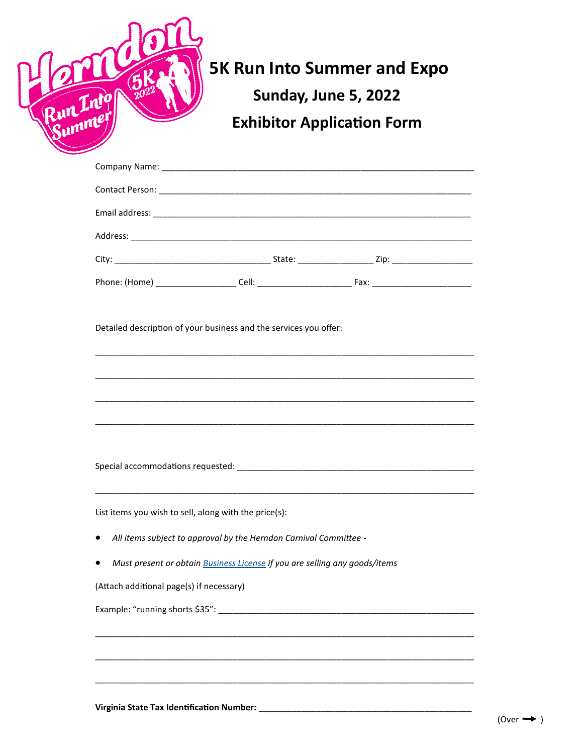|                                                                                                                                                                                            | <b>Sunday, June 5, 2022</b><br><b>Exhibitor Application Form</b> |
|--------------------------------------------------------------------------------------------------------------------------------------------------------------------------------------------|------------------------------------------------------------------|
|                                                                                                                                                                                            |                                                                  |
|                                                                                                                                                                                            |                                                                  |
|                                                                                                                                                                                            |                                                                  |
|                                                                                                                                                                                            |                                                                  |
|                                                                                                                                                                                            |                                                                  |
|                                                                                                                                                                                            |                                                                  |
| Detailed description of your business and the services you offer:<br><u> 1989 - Johann Harry Harry Harry Harry Harry Harry Harry Harry Harry Harry Harry Harry Harry Harry Harry Harry</u> |                                                                  |
|                                                                                                                                                                                            |                                                                  |
| List items you wish to sell, along with the price(s):                                                                                                                                      |                                                                  |
| All items subject to approval by the Herndon Carnival Committee -                                                                                                                          |                                                                  |
| Must present or obtain Business License if you are selling any goods/items                                                                                                                 |                                                                  |
| (Attach additional page(s) if necessary)                                                                                                                                                   |                                                                  |